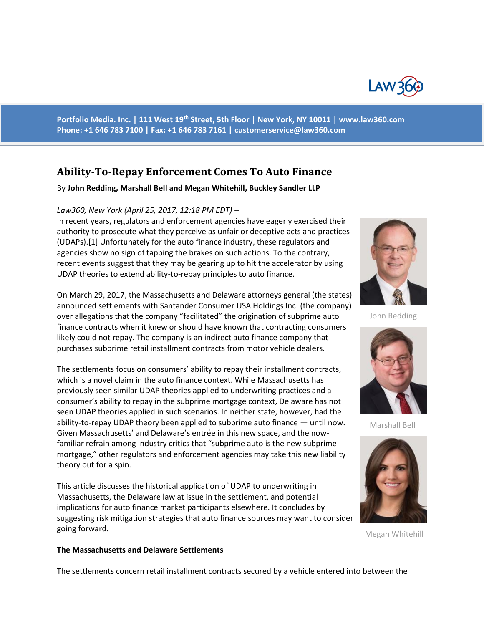

**Portfolio Media. Inc. | 111 West 19th Street, 5th Floor | New York, NY 10011 | www.law360.com Phone: +1 646 783 7100 | Fax: +1 646 783 7161 | [customerservice@law360.com](mailto:customerservice@law360.com)**

# **Ability-To-Repay Enforcement Comes To Auto Finance**

#### By **John Redding, Marshall Bell and Megan Whitehill, Buckley Sandler LLP**

#### *Law360, New York (April 25, 2017, 12:18 PM EDT) --*

In recent years, regulators and enforcement agencies have eagerly exercised their authority to prosecute what they perceive as unfair or deceptive acts and practices (UDAPs).[1] Unfortunately for the auto finance industry, these regulators and agencies show no sign of tapping the brakes on such actions. To the contrary, recent events suggest that they may be gearing up to hit the accelerator by using UDAP theories to extend ability-to-repay principles to auto finance.

On March 29, 2017, the Massachusetts and Delaware attorneys general (the states) announced settlements with Santander Consumer USA Holdings Inc. (the company) over allegations that the company "facilitated" the origination of subprime auto finance contracts when it knew or should have known that contracting consumers likely could not repay. The company is an indirect auto finance company that purchases subprime retail installment contracts from motor vehicle dealers.

The settlements focus on consumers' ability to repay their installment contracts, which is a novel claim in the auto finance context. While Massachusetts has previously seen similar UDAP theories applied to underwriting practices and a consumer's ability to repay in the subprime mortgage context, Delaware has not seen UDAP theories applied in such scenarios. In neither state, however, had the ability-to-repay UDAP theory been applied to subprime auto finance — until now. Given Massachusetts' and Delaware's entrée in this new space, and the nowfamiliar refrain among industry critics that "subprime auto is the new subprime mortgage," other regulators and enforcement agencies may take this new liability theory out for a spin.

This article discusses the historical application of UDAP to underwriting in Massachusetts, the Delaware law at issue in the settlement, and potential implications for auto finance market participants elsewhere. It concludes by suggesting risk mitigation strategies that auto finance sources may want to consider going forward.



John Redding



Marshall Bell



Megan Whitehill

#### **The Massachusetts and Delaware Settlements**

The settlements concern retail installment contracts secured by a vehicle entered into between the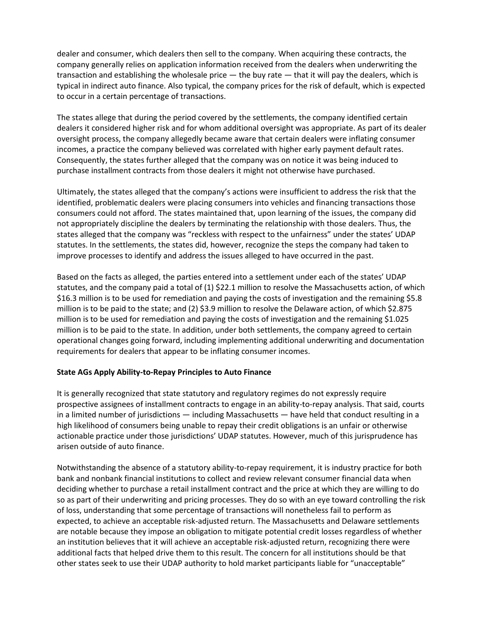dealer and consumer, which dealers then sell to the company. When acquiring these contracts, the company generally relies on application information received from the dealers when underwriting the transaction and establishing the wholesale price — the buy rate — that it will pay the dealers, which is typical in indirect auto finance. Also typical, the company prices for the risk of default, which is expected to occur in a certain percentage of transactions.

The states allege that during the period covered by the settlements, the company identified certain dealers it considered higher risk and for whom additional oversight was appropriate. As part of its dealer oversight process, the company allegedly became aware that certain dealers were inflating consumer incomes, a practice the company believed was correlated with higher early payment default rates. Consequently, the states further alleged that the company was on notice it was being induced to purchase installment contracts from those dealers it might not otherwise have purchased.

Ultimately, the states alleged that the company's actions were insufficient to address the risk that the identified, problematic dealers were placing consumers into vehicles and financing transactions those consumers could not afford. The states maintained that, upon learning of the issues, the company did not appropriately discipline the dealers by terminating the relationship with those dealers. Thus, the states alleged that the company was "reckless with respect to the unfairness" under the states' UDAP statutes. In the settlements, the states did, however, recognize the steps the company had taken to improve processes to identify and address the issues alleged to have occurred in the past.

Based on the facts as alleged, the parties entered into a settlement under each of the states' UDAP statutes, and the company paid a total of (1) \$22.1 million to resolve the Massachusetts action, of which \$16.3 million is to be used for remediation and paying the costs of investigation and the remaining \$5.8 million is to be paid to the state; and (2) \$3.9 million to resolve the Delaware action, of which \$2.875 million is to be used for remediation and paying the costs of investigation and the remaining \$1.025 million is to be paid to the state. In addition, under both settlements, the company agreed to certain operational changes going forward, including implementing additional underwriting and documentation requirements for dealers that appear to be inflating consumer incomes.

## **State AGs Apply Ability-to-Repay Principles to Auto Finance**

It is generally recognized that state statutory and regulatory regimes do not expressly require prospective assignees of installment contracts to engage in an ability-to-repay analysis. That said, courts in a limited number of jurisdictions — including Massachusetts — have held that conduct resulting in a high likelihood of consumers being unable to repay their credit obligations is an unfair or otherwise actionable practice under those jurisdictions' UDAP statutes. However, much of this jurisprudence has arisen outside of auto finance.

Notwithstanding the absence of a statutory ability-to-repay requirement, it is industry practice for both bank and nonbank financial institutions to collect and review relevant consumer financial data when deciding whether to purchase a retail installment contract and the price at which they are willing to do so as part of their underwriting and pricing processes. They do so with an eye toward controlling the risk of loss, understanding that some percentage of transactions will nonetheless fail to perform as expected, to achieve an acceptable risk-adjusted return. The Massachusetts and Delaware settlements are notable because they impose an obligation to mitigate potential credit losses regardless of whether an institution believes that it will achieve an acceptable risk-adjusted return, recognizing there were additional facts that helped drive them to this result. The concern for all institutions should be that other states seek to use their UDAP authority to hold market participants liable for "unacceptable"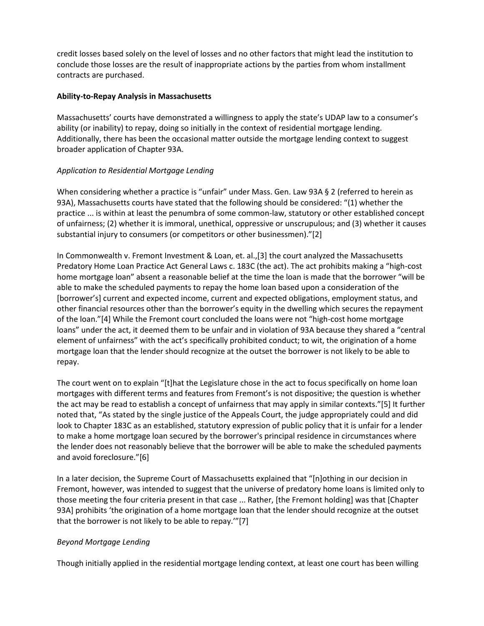credit losses based solely on the level of losses and no other factors that might lead the institution to conclude those losses are the result of inappropriate actions by the parties from whom installment contracts are purchased.

# **Ability-to-Repay Analysis in Massachusetts**

Massachusetts' courts have demonstrated a willingness to apply the state's UDAP law to a consumer's ability (or inability) to repay, doing so initially in the context of residential mortgage lending. Additionally, there has been the occasional matter outside the mortgage lending context to suggest broader application of Chapter 93A.

# *Application to Residential Mortgage Lending*

When considering whether a practice is "unfair" under Mass. Gen. Law 93A § 2 (referred to herein as 93A), Massachusetts courts have stated that the following should be considered: "(1) whether the practice ... is within at least the penumbra of some common-law, statutory or other established concept of unfairness; (2) whether it is immoral, unethical, oppressive or unscrupulous; and (3) whether it causes substantial injury to consumers (or competitors or other businessmen)."[2]

In Commonwealth v. Fremont Investment & Loan, et. al.,[3] the court analyzed the Massachusetts Predatory Home Loan Practice Act General Laws c. 183C (the act). The act prohibits making a "high-cost home mortgage loan" absent a reasonable belief at the time the loan is made that the borrower "will be able to make the scheduled payments to repay the home loan based upon a consideration of the [borrower's] current and expected income, current and expected obligations, employment status, and other financial resources other than the borrower's equity in the dwelling which secures the repayment of the loan."[4] While the Fremont court concluded the loans were not "high-cost home mortgage loans" under the act, it deemed them to be unfair and in violation of 93A because they shared a "central element of unfairness" with the act's specifically prohibited conduct; to wit, the origination of a home mortgage loan that the lender should recognize at the outset the borrower is not likely to be able to repay.

The court went on to explain "[t]hat the Legislature chose in the act to focus specifically on home loan mortgages with different terms and features from Fremont's is not dispositive; the question is whether the act may be read to establish a concept of unfairness that may apply in similar contexts."[5] It further noted that, "As stated by the single justice of the Appeals Court, the judge appropriately could and did look to Chapter 183C as an established, statutory expression of public policy that it is unfair for a lender to make a home mortgage loan secured by the borrower's principal residence in circumstances where the lender does not reasonably believe that the borrower will be able to make the scheduled payments and avoid foreclosure."[6]

In a later decision, the Supreme Court of Massachusetts explained that "[n]othing in our decision in Fremont, however, was intended to suggest that the universe of predatory home loans is limited only to those meeting the four criteria present in that case ... Rather, [the Fremont holding] was that [Chapter 93A] prohibits 'the origination of a home mortgage loan that the lender should recognize at the outset that the borrower is not likely to be able to repay.'"[7]

# *Beyond Mortgage Lending*

Though initially applied in the residential mortgage lending context, at least one court has been willing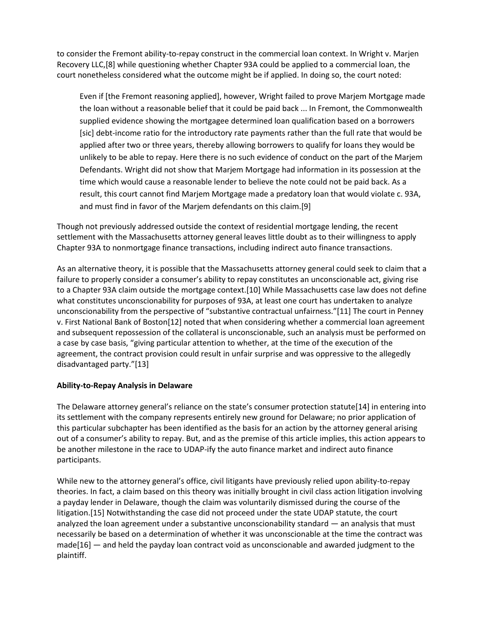to consider the Fremont ability-to-repay construct in the commercial loan context. In Wright v. Marjen Recovery LLC,[8] while questioning whether Chapter 93A could be applied to a commercial loan, the court nonetheless considered what the outcome might be if applied. In doing so, the court noted:

Even if [the Fremont reasoning applied], however, Wright failed to prove Marjem Mortgage made the loan without a reasonable belief that it could be paid back ... In Fremont, the Commonwealth supplied evidence showing the mortgagee determined loan qualification based on a borrowers [sic] debt-income ratio for the introductory rate payments rather than the full rate that would be applied after two or three years, thereby allowing borrowers to qualify for loans they would be unlikely to be able to repay. Here there is no such evidence of conduct on the part of the Marjem Defendants. Wright did not show that Marjem Mortgage had information in its possession at the time which would cause a reasonable lender to believe the note could not be paid back. As a result, this court cannot find Marjem Mortgage made a predatory loan that would violate c. 93A, and must find in favor of the Marjem defendants on this claim.[9]

Though not previously addressed outside the context of residential mortgage lending, the recent settlement with the Massachusetts attorney general leaves little doubt as to their willingness to apply Chapter 93A to nonmortgage finance transactions, including indirect auto finance transactions.

As an alternative theory, it is possible that the Massachusetts attorney general could seek to claim that a failure to properly consider a consumer's ability to repay constitutes an unconscionable act, giving rise to a Chapter 93A claim outside the mortgage context.[10] While Massachusetts case law does not define what constitutes unconscionability for purposes of 93A, at least one court has undertaken to analyze unconscionability from the perspective of "substantive contractual unfairness."[11] The court in Penney v. First National Bank of Boston[12] noted that when considering whether a commercial loan agreement and subsequent repossession of the collateral is unconscionable, such an analysis must be performed on a case by case basis, "giving particular attention to whether, at the time of the execution of the agreement, the contract provision could result in unfair surprise and was oppressive to the allegedly disadvantaged party."[13]

## **Ability-to-Repay Analysis in Delaware**

The Delaware attorney general's reliance on the state's consumer protection statute[14] in entering into its settlement with the company represents entirely new ground for Delaware; no prior application of this particular subchapter has been identified as the basis for an action by the attorney general arising out of a consumer's ability to repay. But, and as the premise of this article implies, this action appears to be another milestone in the race to UDAP-ify the auto finance market and indirect auto finance participants.

While new to the attorney general's office, civil litigants have previously relied upon ability-to-repay theories. In fact, a claim based on this theory was initially brought in civil class action litigation involving a payday lender in Delaware, though the claim was voluntarily dismissed during the course of the litigation.[15] Notwithstanding the case did not proceed under the state UDAP statute, the court analyzed the loan agreement under a substantive unconscionability standard — an analysis that must necessarily be based on a determination of whether it was unconscionable at the time the contract was  $made[16]$  — and held the payday loan contract void as unconscionable and awarded judgment to the plaintiff.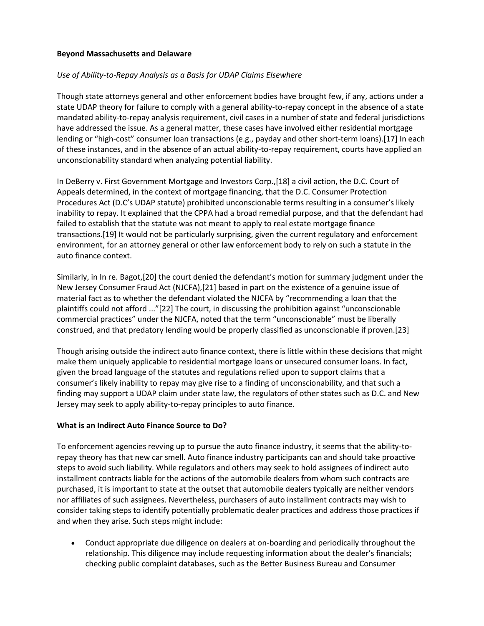## **Beyond Massachusetts and Delaware**

# *Use of Ability-to-Repay Analysis as a Basis for UDAP Claims Elsewhere*

Though state attorneys general and other enforcement bodies have brought few, if any, actions under a state UDAP theory for failure to comply with a general ability-to-repay concept in the absence of a state mandated ability-to-repay analysis requirement, civil cases in a number of state and federal jurisdictions have addressed the issue. As a general matter, these cases have involved either residential mortgage lending or "high-cost" consumer loan transactions (e.g., payday and other short-term loans).[17] In each of these instances, and in the absence of an actual ability-to-repay requirement, courts have applied an unconscionability standard when analyzing potential liability.

In DeBerry v. First Government Mortgage and Investors Corp.,[18] a civil action, the D.C. Court of Appeals determined, in the context of mortgage financing, that the D.C. Consumer Protection Procedures Act (D.C's UDAP statute) prohibited unconscionable terms resulting in a consumer's likely inability to repay. It explained that the CPPA had a broad remedial purpose, and that the defendant had failed to establish that the statute was not meant to apply to real estate mortgage finance transactions.[19] It would not be particularly surprising, given the current regulatory and enforcement environment, for an attorney general or other law enforcement body to rely on such a statute in the auto finance context.

Similarly, in In re. Bagot,[20] the court denied the defendant's motion for summary judgment under the New Jersey Consumer Fraud Act (NJCFA),[21] based in part on the existence of a genuine issue of material fact as to whether the defendant violated the NJCFA by "recommending a loan that the plaintiffs could not afford ..."[22] The court, in discussing the prohibition against "unconscionable commercial practices" under the NJCFA, noted that the term "unconscionable" must be liberally construed, and that predatory lending would be properly classified as unconscionable if proven.[23]

Though arising outside the indirect auto finance context, there is little within these decisions that might make them uniquely applicable to residential mortgage loans or unsecured consumer loans. In fact, given the broad language of the statutes and regulations relied upon to support claims that a consumer's likely inability to repay may give rise to a finding of unconscionability, and that such a finding may support a UDAP claim under state law, the regulators of other states such as D.C. and New Jersey may seek to apply ability-to-repay principles to auto finance.

## **What is an Indirect Auto Finance Source to Do?**

To enforcement agencies revving up to pursue the auto finance industry, it seems that the ability-torepay theory has that new car smell. Auto finance industry participants can and should take proactive steps to avoid such liability. While regulators and others may seek to hold assignees of indirect auto installment contracts liable for the actions of the automobile dealers from whom such contracts are purchased, it is important to state at the outset that automobile dealers typically are neither vendors nor affiliates of such assignees. Nevertheless, purchasers of auto installment contracts may wish to consider taking steps to identify potentially problematic dealer practices and address those practices if and when they arise. Such steps might include:

 Conduct appropriate due diligence on dealers at on-boarding and periodically throughout the relationship. This diligence may include requesting information about the dealer's financials; checking public complaint databases, such as the Better Business Bureau and Consumer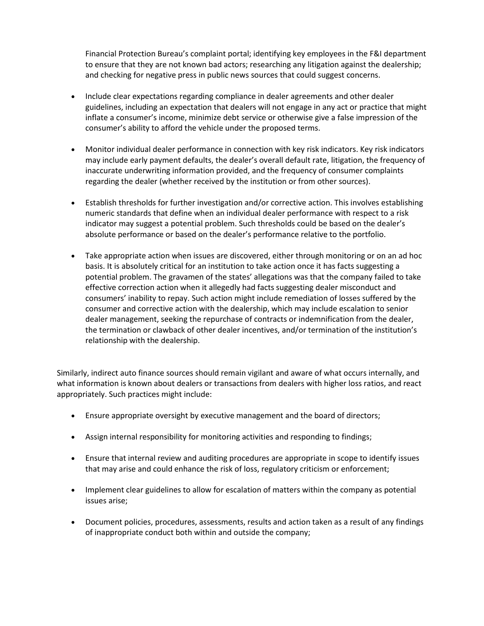Financial Protection Bureau's complaint portal; identifying key employees in the F&I department to ensure that they are not known bad actors; researching any litigation against the dealership; and checking for negative press in public news sources that could suggest concerns.

- Include clear expectations regarding compliance in dealer agreements and other dealer guidelines, including an expectation that dealers will not engage in any act or practice that might inflate a consumer's income, minimize debt service or otherwise give a false impression of the consumer's ability to afford the vehicle under the proposed terms.
- Monitor individual dealer performance in connection with key risk indicators. Key risk indicators may include early payment defaults, the dealer's overall default rate, litigation, the frequency of inaccurate underwriting information provided, and the frequency of consumer complaints regarding the dealer (whether received by the institution or from other sources).
- Establish thresholds for further investigation and/or corrective action. This involves establishing numeric standards that define when an individual dealer performance with respect to a risk indicator may suggest a potential problem. Such thresholds could be based on the dealer's absolute performance or based on the dealer's performance relative to the portfolio.
- Take appropriate action when issues are discovered, either through monitoring or on an ad hoc basis. It is absolutely critical for an institution to take action once it has facts suggesting a potential problem. The gravamen of the states' allegations was that the company failed to take effective correction action when it allegedly had facts suggesting dealer misconduct and consumers' inability to repay. Such action might include remediation of losses suffered by the consumer and corrective action with the dealership, which may include escalation to senior dealer management, seeking the repurchase of contracts or indemnification from the dealer, the termination or clawback of other dealer incentives, and/or termination of the institution's relationship with the dealership.

Similarly, indirect auto finance sources should remain vigilant and aware of what occurs internally, and what information is known about dealers or transactions from dealers with higher loss ratios, and react appropriately. Such practices might include:

- Ensure appropriate oversight by executive management and the board of directors;
- Assign internal responsibility for monitoring activities and responding to findings;
- Ensure that internal review and auditing procedures are appropriate in scope to identify issues that may arise and could enhance the risk of loss, regulatory criticism or enforcement;
- Implement clear guidelines to allow for escalation of matters within the company as potential issues arise;
- Document policies, procedures, assessments, results and action taken as a result of any findings of inappropriate conduct both within and outside the company;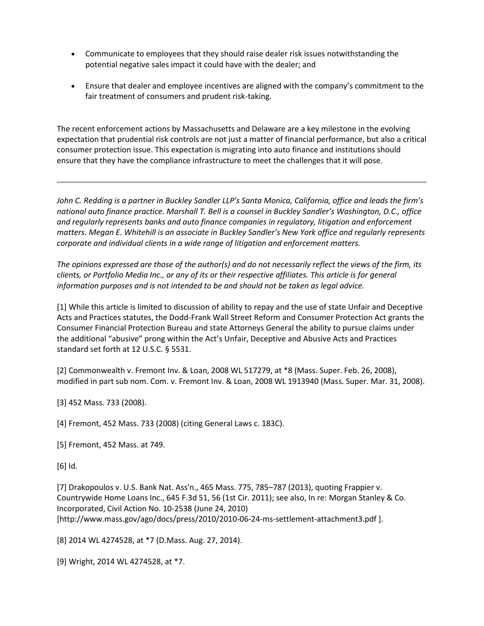- Communicate to employees that they should raise dealer risk issues notwithstanding the potential negative sales impact it could have with the dealer; and
- Ensure that dealer and employee incentives are aligned with the company's commitment to the fair treatment of consumers and prudent risk-taking.

The recent enforcement actions by Massachusetts and Delaware are a key milestone in the evolving expectation that prudential risk controls are not just a matter of financial performance, but also a critical consumer protection issue. This expectation is migrating into auto finance and institutions should ensure that they have the compliance infrastructure to meet the challenges that it will pose.

*John C. Redding is a partner in Buckley Sandler LLP's Santa Monica, California, office and leads the firm's national auto finance practice. Marshall T. Bell is a counsel in Buckley Sandler's Washington, D.C., office and regularly represents banks and auto finance companies in regulatory, litigation and enforcement matters. Megan E. Whitehill is an associate in Buckley Sandler's New York office and regularly represents corporate and individual clients in a wide range of litigation and enforcement matters.*

*The opinions expressed are those of the author(s) and do not necessarily reflect the views of the firm, its clients, or Portfolio Media Inc., or any of its or their respective affiliates. This article is for general information purposes and is not intended to be and should not be taken as legal advice.*

[1] While this article is limited to discussion of ability to repay and the use of state Unfair and Deceptive Acts and Practices statutes, the Dodd-Frank Wall Street Reform and Consumer Protection Act grants the Consumer Financial Protection Bureau and state Attorneys General the ability to pursue claims under the additional "abusive" prong within the Act's Unfair, Deceptive and Abusive Acts and Practices standard set forth at 12 U.S.C. § 5531.

[2] Commonwealth v. Fremont Inv. & Loan, 2008 WL 517279, at \*8 (Mass. Super. Feb. 26, 2008), modified in part sub nom. Com. v. Fremont Inv. & Loan, 2008 WL 1913940 (Mass. Super. Mar. 31, 2008).

[3] 452 Mass. 733 (2008).

[4] Fremont, 452 Mass. 733 (2008) (citing General Laws c. 183C).

[5] Fremont, 452 Mass. at 749.

[6] Id.

[7] Drakopoulos v. U.S. Bank Nat. Ass'n., 465 Mass. 775, 785–787 (2013), quoting Frappier v. Countrywide Home Loans Inc., 645 F.3d 51, 56 (1st Cir. 2011); see also, In re: Morgan Stanley & Co. Incorporated, Civil Action No. 10-2538 (June 24, 2010) [http://www.mass.gov/ago/docs/press/2010/2010-06-24-ms-settlement-attachment3.pdf ].

[8] 2014 WL 4274528, at \*7 (D.Mass. Aug. 27, 2014).

[9] Wright, 2014 WL 4274528, at \*7.